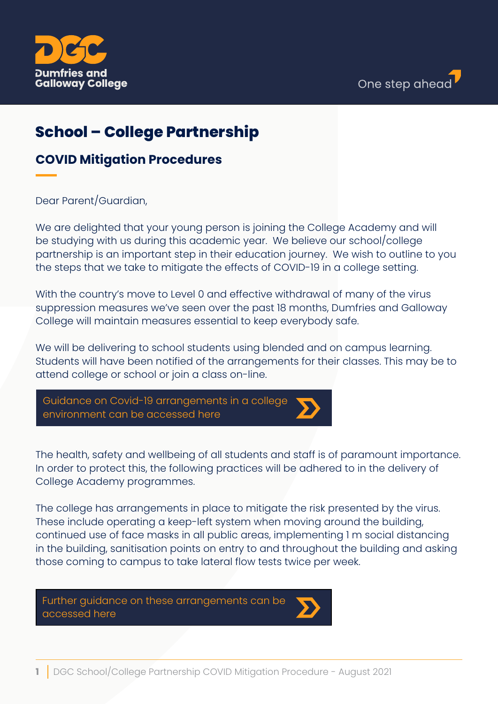



# **School – College Partnership**

## **COVID Mitigation Procedures**

### Dear Parent/Guardian,

We are delighted that your young person is joining the College Academy and will be studying with us during this academic year. We believe our school/college partnership is an important step in their education journey. We wish to outline to you the steps that we take to mitigate the effects of COVID-19 in a college setting.

With the country's move to Level 0 and effective withdrawal of many of the virus suppression measures we've seen over the past 18 months, Dumfries and Galloway College will maintain measures essential to keep everybody safe.

We will be delivering to school students using blended and on campus learning. Students will have been notified of the arrangements for their classes. This may be to attend college or school or join a class on-line.



The health, safety and wellbeing of all students and staff is of paramount importance. In order to protect this, the following practices will be adhered to in the delivery of College Academy programmes.

The college has arrangements in place to mitigate the risk presented by the virus. These include operating a keep-left system when moving around the building, continued use of face masks in all public areas, implementing 1 m social distancing in the building, sanitisation points on entry to and throughout the building and asking those coming to campus to take lateral flow tests twice per week.

[Further guidance on these arrangements can be](https://www.dumgal.ac.uk/covid19-reopening)  accessed here

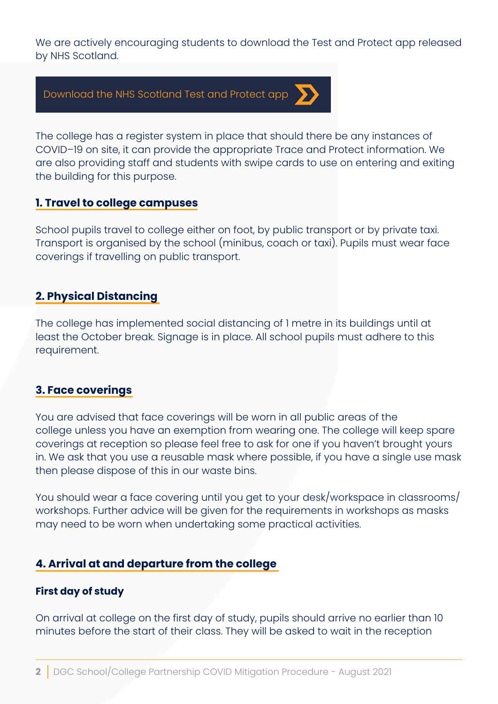We are actively encouraging students to download the Test and Protect app released by NHS Scotland.



The college has a register system in place that should there be any instances of COVID–19 on site, it can provide the appropriate Trace and Protect information. We are also providing staff and students with swipe cards to use on entering and exiting the building for this purpose.

## **1. Travel to college campuses**

School pupils travel to college either on foot, by public transport or by private taxi. Transport is organised by the school (minibus, coach or taxi). Pupils must wear face coverings if travelling on public transport.

## **2. Physical Distancing**

The college has implemented social distancing of 1 metre in its buildings until at least the October break. Signage is in place. All school pupils must adhere to this requirement.

## **3. Face coverings**

You are advised that face coverings will be worn in all public areas of the college unless you have an exemption from wearing one. The college will keep spare coverings at reception so please feel free to ask for one if you haven't brought yours in. We ask that you use a reusable mask where possible, if you have a single use mask then please dispose of this in our waste bins.

You should wear a face covering until you get to your desk/workspace in classrooms/ workshops. Further advice will be given for the requirements in workshops as masks may need to be worn when undertaking some practical activities.

## **4. Arrival at and departure from the college**

#### **First day of study**

On arrival at college on the first day of study, pupils should arrive no earlier than 10 minutes before the start of their class. They will be asked to wait in the reception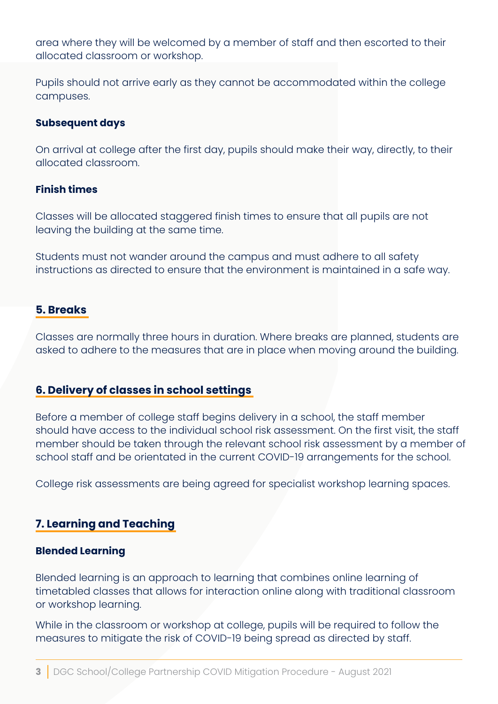area where they will be welcomed by a member of staff and then escorted to their allocated classroom or workshop.

Pupils should not arrive early as they cannot be accommodated within the college campuses.

#### **Subsequent days**

On arrival at college after the first day, pupils should make their way, directly, to their allocated classroom.

#### **Finish times**

Classes will be allocated staggered finish times to ensure that all pupils are not leaving the building at the same time.

Students must not wander around the campus and must adhere to all safety instructions as directed to ensure that the environment is maintained in a safe way.

## **5. Breaks**

Classes are normally three hours in duration. Where breaks are planned, students are asked to adhere to the measures that are in place when moving around the building.

## **6. Delivery of classes in school settings**

Before a member of college staff begins delivery in a school, the staff member should have access to the individual school risk assessment. On the first visit, the staff member should be taken through the relevant school risk assessment by a member of school staff and be orientated in the current COVID-19 arrangements for the school.

College risk assessments are being agreed for specialist workshop learning spaces.

## **7. Learning and Teaching**

#### **Blended Learning**

Blended learning is an approach to learning that combines online learning of timetabled classes that allows for interaction online along with traditional classroom or workshop learning.

While in the classroom or workshop at college, pupils will be required to follow the measures to mitigate the risk of COVID-19 being spread as directed by staff.